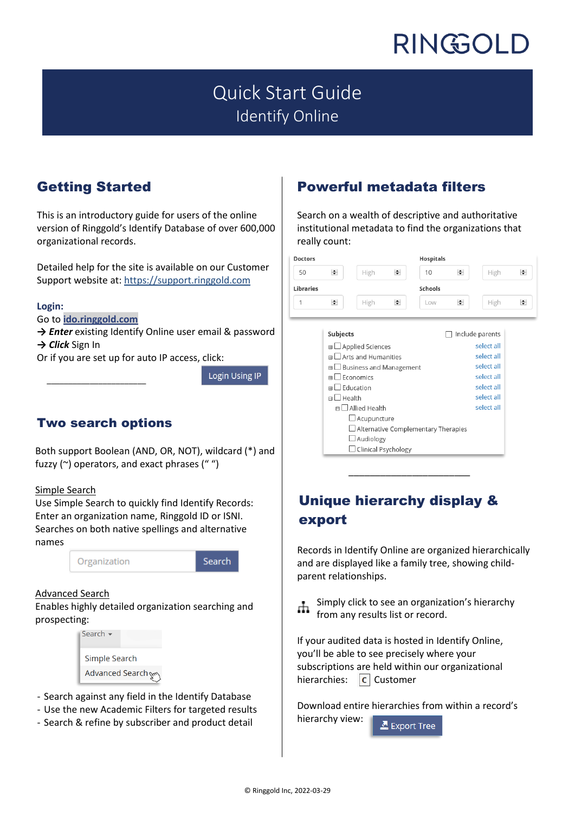# Quick Start Guide Identify Online

## Getting Started

This is an introductory guide for users of the online version of Ringgold's Identify Database of over 600,000 organizational records.

Detailed help for the site is available on our Customer Support website at: [https://support.ringgold.com](https://support.ringgold.com/)

#### **Login:**

Go to **[ido.ringgold.com](http://ido.ringgold.com/)**

 $\overline{\phantom{a}}$  , which is a set of the set of the set of the set of the set of the set of the set of the set of the set of the set of the set of the set of the set of the set of the set of the set of the set of the set of th

**→** *Enter* existing Identify Online user email & password **→** *Click* Sign In

Or if you are set up for auto IP access, click:

Login Using IP

### Two search options

Both support Boolean (AND, OR, NOT), wildcard (\*) and fuzzy ( $\sim$ ) operators, and exact phrases (" ")

#### Simple Search

Use Simple Search to quickly find Identify Records: Enter an organization name, Ringgold ID or ISNI. Searches on both native spellings and alternative names



Search

#### Advanced Search

Enables highly detailed organization searching and prospecting:



- Search against any field in the Identify Database
- Use the new Academic Filters for targeted results
- Search & refine by subscriber and product detail

# Powerful metadata filters

Search on a wealth of descriptive and authoritative institutional metadata to find the organizations that really count:

| <b>Doctors</b>             |                               |                                    |        | <b>Hospitals</b> |                          |                 |        |  |  |
|----------------------------|-------------------------------|------------------------------------|--------|------------------|--------------------------|-----------------|--------|--|--|
| 50                         | $\div$                        | High                               | $\div$ | 10               | $\div$                   | High            | ₩      |  |  |
| Libraries                  |                               |                                    |        | Schools          |                          |                 |        |  |  |
| 1                          | $\div$                        | High                               | $\div$ | Low              | $\div$                   | High            | $\div$ |  |  |
|                            |                               |                                    |        |                  |                          |                 |        |  |  |
|                            | Subjects                      |                                    |        |                  |                          | Include parents |        |  |  |
|                            |                               | $\boxplus$ $\Box$ Applied Sciences |        |                  |                          | select all      |        |  |  |
|                            | $m \prod$ Arts and Humanities |                                    |        |                  | select all               |                 |        |  |  |
|                            |                               | $\boxplus$ Business and Management |        |                  | select all<br>select all |                 |        |  |  |
|                            | $\mathbb{H}$ Economics        |                                    |        |                  |                          |                 |        |  |  |
| Education<br>$m \mid \bot$ |                               |                                    |        | select all       |                          |                 |        |  |  |

select all

select all

|        | Unique hierarchy display & |  |
|--------|----------------------------|--|
| export |                            |  |

□ Alternative Complementary Therapies

 $\boxminus$  Health

 $\Box$  Allied Health  $\Box$  Acupuncture

> Audiology  $\Box$  Clinical Psychology

Records in Identify Online are organized hierarchically and are displayed like a family tree, showing childparent relationships.

Simply click to see an organization's hierarchy from any results list or record.

If your audited data is hosted in Identify Online, you'll be able to see precisely where your subscriptions are held within our organizational hierarchies:  $\boxed{c}$  Customer

Download entire hierarchies from within a record's hierarchy view:Export Tree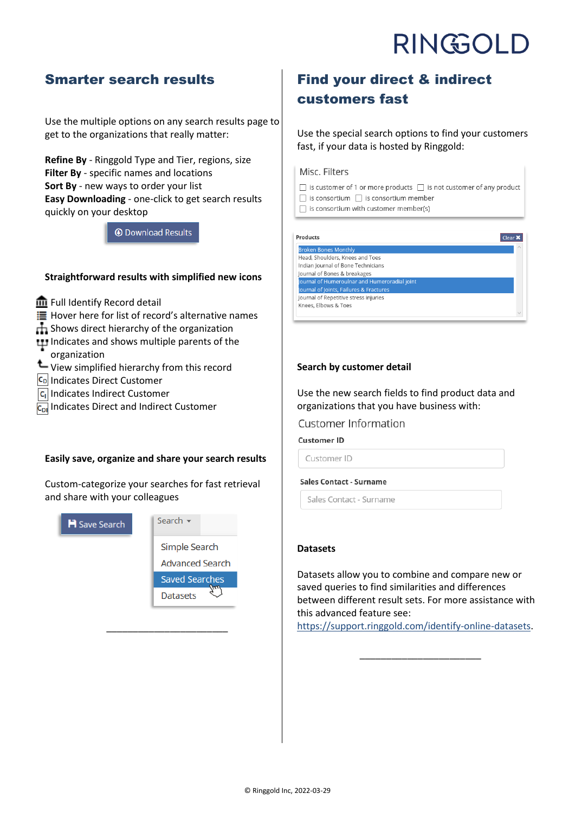### Smarter search results

Use the multiple options on any search results page to get to the organizations that really matter:

**Refine By** - Ringgold Type and Tier, regions, size **Filter By** - specific names and locations **Sort By** - new ways to order your list **Easy Downloading** - one-click to get search results quickly on your desktop

**O** Download Results

#### **Straightforward results with simplified new icons**

Full Identify Record detail

Hover here for list of record's alternative names

**H** Shows direct hierarchy of the organization

- **ITI** Indicates and shows multiple parents of the
- organization
- View simplified hierarchy from this record
- CD Indicates Direct Customer
- **C**<sub>I</sub> Indicates Indirect Customer

**C<sub>DI</sub>** Indicates Direct and Indirect Customer

#### **Easily save, organize and share your search results**

Custom-categorize your searches for fast retrieval and share with your colleagues



\_\_\_\_\_\_\_\_\_\_\_\_\_\_\_\_\_\_\_\_\_\_\_

## Find your direct & indirect customers fast

Use the special search options to find your customers fast, if your data is hosted by Ringgold:

#### Misc. Filters

 $\Box$  is customer of 1 or more products  $\Box$  is not customer of any product  $\Box$  is consortium  $\Box$  is consortium member  $\Box$  is consortium with customer member(s)

Products **Broken Bones Monthly** Head, Shoulders, Knees and Toes Indian Journal of Bone Technicians Journal of Bones & breakages ournal of Humeroulnar and Humeroradial joint ournal of Joints, Failures & Fractur Journal of Repetitive stress injuries Knees, Elbows & Toes

#### **Search by customer detail**

Use the new search fields to find product data and organizations that you have business with:

#### **Customer Information**

**Customer ID** 

Customer ID

#### **Sales Contact - Surname**

Sales Contact - Surname

#### **Datasets**

Datasets allow you to combine and compare new or saved queries to find similarities and differences between different result sets. For more assistance with this advanced feature see:

[https://support.ringgold.com/identify-online-datasets.](https://support.ringgold.com/identify-online-datasets)

\_\_\_\_\_\_\_\_\_\_\_\_\_\_\_\_\_\_\_\_\_\_\_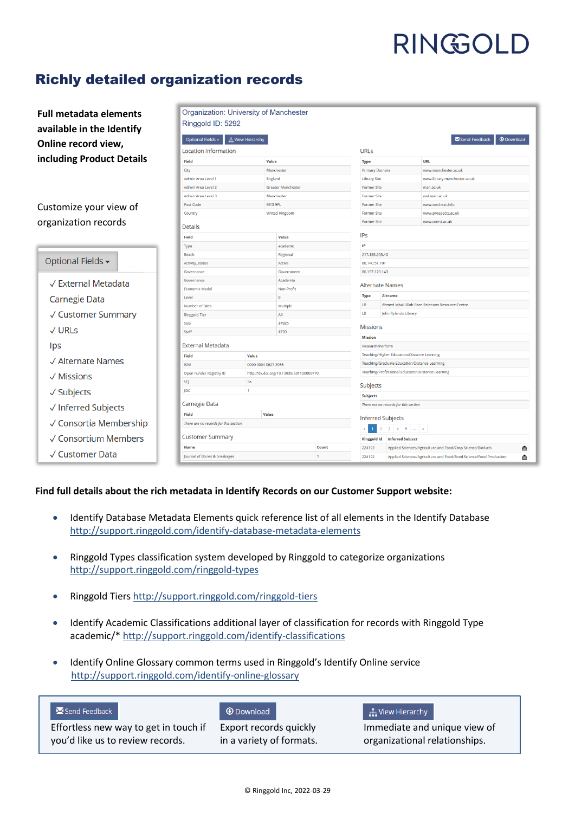## Richly detailed organization records

| <b>Full metadata elements</b>       | Organization: University of Manchester                                                    |                                         |              |                                             |                                                   |                                                  |                                                                    |   |
|-------------------------------------|-------------------------------------------------------------------------------------------|-----------------------------------------|--------------|---------------------------------------------|---------------------------------------------------|--------------------------------------------------|--------------------------------------------------------------------|---|
| available in the Identify           | Ringgold ID: 5292                                                                         |                                         |              |                                             |                                                   |                                                  |                                                                    |   |
|                                     | Optional Fields -<br><b>H</b> View Hierarchy<br>Send Feedback<br><b><i>O</i></b> Download |                                         |              |                                             |                                                   |                                                  |                                                                    |   |
| Online record view,                 | Location Information                                                                      |                                         |              | <b>URLs</b>                                 |                                                   |                                                  |                                                                    |   |
| including Product Details           | Field<br>Value                                                                            |                                         |              |                                             | <b>Type</b>                                       |                                                  | URL                                                                |   |
|                                     | City                                                                                      |                                         | Manchester   |                                             | <b>Primary Domain</b>                             |                                                  | www.manchester.ac.uk                                               |   |
|                                     | Admin Area Level 1                                                                        |                                         |              | England                                     |                                                   | <b>Library Site</b>                              | www.library.manchester.ac.uk                                       |   |
|                                     | Admin Area Level 2                                                                        |                                         |              | <b>Greater Manchester</b>                   |                                                   | <b>Former Site</b>                               | man.ac.uk                                                          |   |
|                                     | Admin Area Level 3                                                                        |                                         | Manchester   |                                             | <b>Former Site</b>                                |                                                  | owl.man.ac.uk                                                      |   |
| Customize your view of              | Post Code                                                                                 | M13 9PL                                 |              |                                             | <b>Former Site</b>                                |                                                  | www.mrchear.info                                                   |   |
|                                     | Country                                                                                   | <b>United Kingdom</b>                   |              |                                             | <b>Former Site</b>                                |                                                  | www.prospects.ac.uk                                                |   |
| organization records                | <b>Details</b>                                                                            |                                         |              |                                             | <b>Former Site</b><br>www.umist.ac.uk             |                                                  |                                                                    |   |
|                                     | Field                                                                                     |                                         | Value        |                                             | <b>IPs</b>                                        |                                                  |                                                                    |   |
|                                     | <b>Type</b>                                                                               |                                         | academic     |                                             | IP                                                |                                                  |                                                                    |   |
|                                     | Reach                                                                                     |                                         | Regional     |                                             |                                                   | 217.155.205.40                                   |                                                                    |   |
| Optional Fields -                   | <b>Activity_status</b>                                                                    |                                         | Active       |                                             | 86.140.51.101                                     |                                                  |                                                                    |   |
|                                     | Governance                                                                                |                                         | Government   |                                             | 86.157.123.143                                    |                                                  |                                                                    |   |
| √ External Metadata                 | Governance                                                                                |                                         | Academia     |                                             | <b>Alternate Names</b>                            |                                                  |                                                                    |   |
|                                     | <b>Economic Model</b>                                                                     |                                         | Non-Profit   |                                             |                                                   |                                                  |                                                                    |   |
| <b>Carnegie Data</b>                | Level                                                                                     |                                         | $\mathbf{0}$ |                                             | <b>Type</b>                                       | Altname                                          |                                                                    |   |
|                                     | Number of Sites                                                                           |                                         | Multiple     |                                             | $\mathsf{L}\mathsf{B}$                            | Ahmed Iqbal Ullah Race Relations Resource Centre |                                                                    |   |
| √ Customer Summary                  | <b>Ringgold Tier</b>                                                                      |                                         | A4           |                                             | LB<br>John Rylands Library                        |                                                  |                                                                    |   |
| $\sqrt{URLs}$                       | Size                                                                                      |                                         | 37925        |                                             | <b>Missions</b>                                   |                                                  |                                                                    |   |
|                                     | Staff<br>4720                                                                             |                                         |              | <b>Mission</b>                              |                                                   |                                                  |                                                                    |   |
| lps                                 | <b>External Metadata</b>                                                                  |                                         |              |                                             | Research/Perform                                  |                                                  |                                                                    |   |
| √ Alternate Names                   | <b>Field</b><br>Value                                                                     |                                         |              | Teaching/Higher Education/Distance Learning |                                                   |                                                  |                                                                    |   |
|                                     | <b>ISNI</b>                                                                               | 0000 0004 0627 2955                     |              |                                             | Teaching/Graduate Education/Distance Learning     |                                                  |                                                                    |   |
| $\sqrt{\mathsf{Missions}}$          | Open Funder Registry ID                                                                   | http://dx.doi.org/10.13039/501100000770 |              |                                             | Teaching/Professional Education/Distance Learning |                                                  |                                                                    |   |
|                                     | SFJ                                                                                       | 3a                                      |              |                                             | Subjects                                          |                                                  |                                                                    |   |
| $\sqrt{\overline{\text{Subjects}}}$ | <b>IISC</b>                                                                               | $\overline{1}$                          |              |                                             | Subjects                                          |                                                  |                                                                    |   |
| √ Inferred Subjects                 | Carnegie Data                                                                             |                                         |              |                                             | There are no records for this section             |                                                  |                                                                    |   |
|                                     | <b>Field</b><br>Value                                                                     |                                         |              | <b>Inferred Subjects</b>                    |                                                   |                                                  |                                                                    |   |
| √ Consortia Membership              | There are no records for this section                                                     |                                         |              |                                             | $2$ 3 4 5 $$ a<br>$\mathbf{1}$                    |                                                  |                                                                    |   |
| √ Consortium Members                | <b>Customer Summary</b>                                                                   |                                         |              |                                             | <b>Ringgold Id</b>                                | <b>Inferred Subject</b>                          |                                                                    |   |
|                                     | Name                                                                                      |                                         |              | Count                                       | 224192                                            |                                                  | Applied Sciences/Agriculture and Food/Crop Science/Biofuels        | 血 |
| √ Customer Data                     | Journal of Bones & breakages<br>$\mathbf{1}$                                              |                                         |              |                                             | 224192                                            |                                                  | Applied Sciences/Agriculture and Food/Food Science/Food Production | 血 |

#### **Find full details about the rich metadata in Identify Records on our Customer Support website:**

- Identify Database Metadata Elements quick reference list of all elements in the Identify Database [http://support.ringgold.com/identify-database-metadata-elements](http://support.ringgold.com/identify-database-metadata-elements/)
- Ringgold Types classification system developed by Ringgold to categorize organizations <http://support.ringgold.com/ringgold-types>
- Ringgold Tiers [http://support.ringgold.com/ringgold-tiers](http://support.ringgold.com/ringgold-tiers/)
- Identify Academic Classifications additional layer of classification for records with Ringgold Type academic/\* [http://support.ringgold.com/identify-classifications](http://support.ringgold.com/identify-classifications/)
- Identify Online Glossary common terms used in Ringgold's Identify Online service [http://support.ringgold.com/identify-online-glossary](http://support.ringgold.com/identify-online-glossary/)

|  | Send Feedback |  |
|--|---------------|--|
|  |               |  |

Effortless new way to get in touch if you'd like us to review records.

#### **O** Download Export records quickly in a variety of formats.

#### $\frac{1}{11}$  View Hierarchy

Immediate and unique view of organizational relationships.